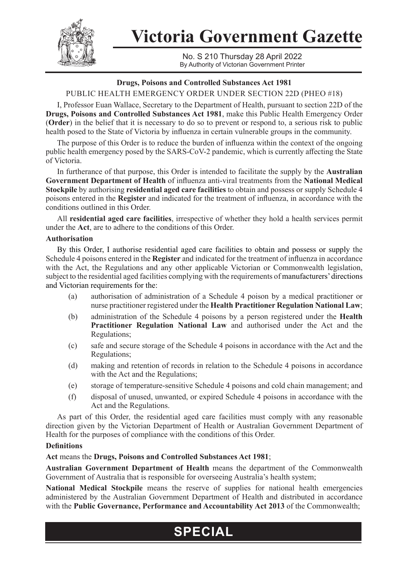

**Victoria Government Gazette**

No. S 210 Thursday 28 April 2022 By Authority of Victorian Government Printer

### **Drugs, Poisons and Controlled Substances Act 1981**

## PUBLIC HEALTH EMERGENCY ORDER UNDER SECTION 22D (PHEO #18)

I, Professor Euan Wallace, Secretary to the Department of Health, pursuant to section 22D of the **Drugs, Poisons and Controlled Substances Act 1981**, make this Public Health Emergency Order (**Order**) in the belief that it is necessary to do so to prevent or respond to, a serious risk to public health posed to the State of Victoria by influenza in certain vulnerable groups in the community.

The purpose of this Order is to reduce the burden of influenza within the context of the ongoing public health emergency posed by the SARS-CoV-2 pandemic, which is currently affecting the State of Victoria.

In furtherance of that purpose, this Order is intended to facilitate the supply by the **Australian Government Department of Health** of influenza anti-viral treatments from the **National Medical Stockpile** by authorising **residential aged care facilities** to obtain and possess or supply Schedule 4 poisons entered in the **Register** and indicated for the treatment of influenza, in accordance with the conditions outlined in this Order.

All **residential aged care facilities**, irrespective of whether they hold a health services permit under the **Act**, are to adhere to the conditions of this Order.

#### **Authorisation**

By this Order, I authorise residential aged care facilities to obtain and possess or supply the Schedule 4 poisons entered in the **Register** and indicated for the treatment of influenza in accordance with the Act, the Regulations and any other applicable Victorian or Commonwealth legislation, subject to the residential aged facilities complying with the requirements of manufacturers' directions and Victorian requirements for the:

- (a) authorisation of administration of a Schedule 4 poison by a medical practitioner or nurse practitioner registered under the **Health Practitioner Regulation National Law**;
- (b) administration of the Schedule 4 poisons by a person registered under the **Health Practitioner Regulation National Law** and authorised under the Act and the Regulations;
- (c) safe and secure storage of the Schedule 4 poisons in accordance with the Act and the Regulations;
- (d) making and retention of records in relation to the Schedule 4 poisons in accordance with the Act and the Regulations;
- (e) storage of temperature-sensitive Schedule 4 poisons and cold chain management; and
- (f) disposal of unused, unwanted, or expired Schedule 4 poisons in accordance with the Act and the Regulations.

As part of this Order, the residential aged care facilities must comply with any reasonable direction given by the Victorian Department of Health or Australian Government Department of Health for the purposes of compliance with the conditions of this Order.

#### **Definitions**

**Act** means the **Drugs, Poisons and Controlled Substances Act 1981**;

**Australian Government Department of Health** means the department of the Commonwealth Government of Australia that is responsible for overseeing Australia's health system;

**National Medical Stockpile** means the reserve of supplies for national health emergencies administered by the Australian Government Department of Health and distributed in accordance with the **Public Governance, Performance and Accountability Act 2013** of the Commonwealth;

# **SPECIAL**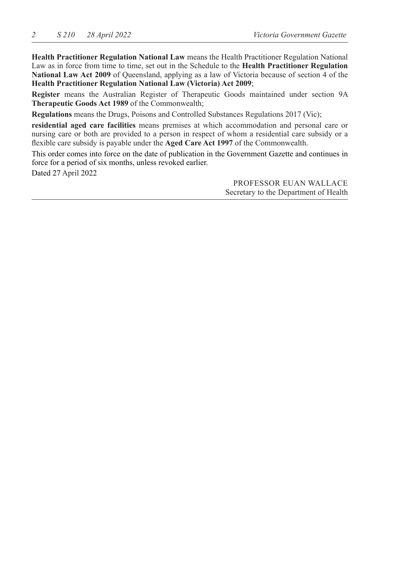**Health Practitioner Regulation National Law** means the Health Practitioner Regulation National Law as in force from time to time, set out in the Schedule to the **Health Practitioner Regulation National Law Act 2009** of Queensland, applying as a law of Victoria because of section 4 of the **Health Practitioner Regulation National Law (Victoria) Act 2009**;

**Register** means the Australian Register of Therapeutic Goods maintained under section 9A **Therapeutic Goods Act 1989** of the Commonwealth;

**Regulations** means the Drugs, Poisons and Controlled Substances Regulations 2017 (Vic);

**residential aged care facilities** means premises at which accommodation and personal care or nursing care or both are provided to a person in respect of whom a residential care subsidy or a flexible care subsidy is payable under the **Aged Care Act 1997** of the Commonwealth.

This order comes into force on the date of publication in the Government Gazette and continues in force for a period of six months, unless revoked earlier.

Dated 27 April 2022

PROFESSOR EUAN WALLACE Secretary to the Department of Health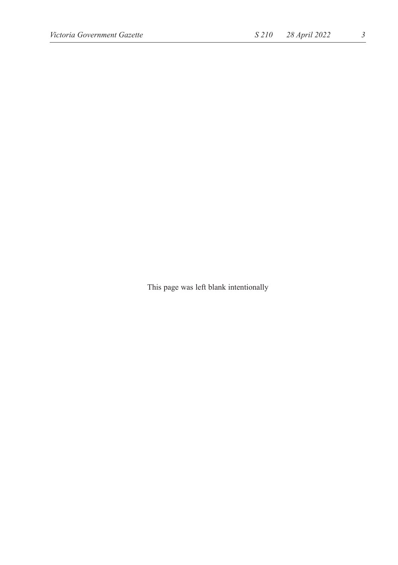This page was left blank intentionally